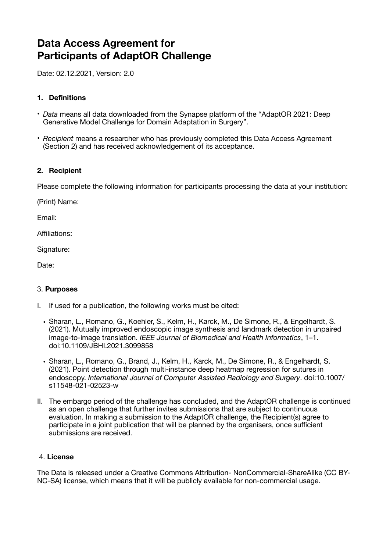# **Data Access Agreement for Participants of AdaptOR Challenge**

Date: 02.12.2021, Version: 2.0

# **1. Definitions**

- *Data* means all data downloaded from the Synapse platform of the "AdaptOR 2021: Deep Generative Model Challenge for Domain Adaptation in Surgery".
- *Recipient* means a researcher who has previously completed this Data Access Agreement (Section 2) and has received acknowledgement of its acceptance.

# **2. Recipient**

Please complete the following information for participants processing the data at your institution:

(Print) Name:

Email:

Affiliations:

Signature:

Date:

#### 3. **Purposes**

- I. If used for a publication, the following works must be cited:
	- Sharan, L., Romano, G., Koehler, S., Kelm, H., Karck, M., De Simone, R., & Engelhardt, S. (2021). Mutually improved endoscopic image synthesis and landmark detection in unpaired image-to-image translation. *IEEE Journal of Biomedical and Health Informatics*, 1–1. doi:10.1109/JBHI.2021.3099858
	- Sharan, L., Romano, G., Brand, J., Kelm, H., Karck, M., De Simone, R., & Engelhardt, S. (2021). Point detection through multi-instance deep heatmap regression for sutures in endoscopy. *International Journal of Computer Assisted Radiology and Surgery*. doi:10.1007/ s11548-021-02523-w
- II. The embargo period of the challenge has concluded, and the AdaptOR challenge is continued as an open challenge that further invites submissions that are subject to continuous evaluation. In making a submission to the AdaptOR challenge, the Recipient(s) agree to participate in a joint publication that will be planned by the organisers, once sufficient submissions are received.

#### 4. **License**

The Data is released under a Creative Commons Attribution- NonCommercial-ShareAlike (CC BY-NC-SA) license, which means that it will be publicly available for non-commercial usage.